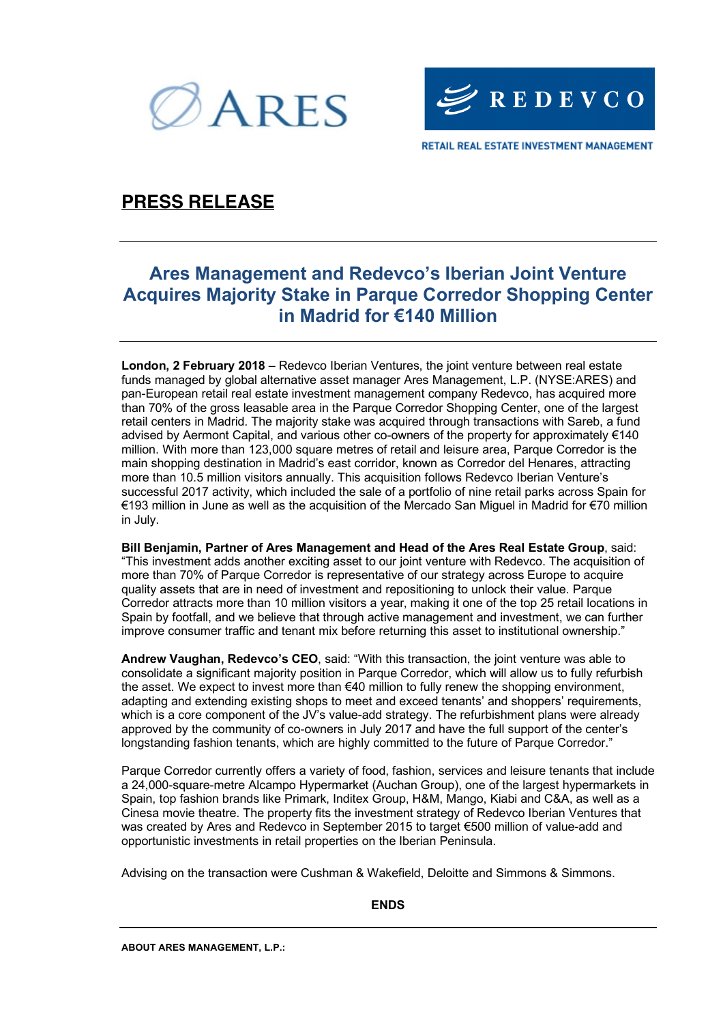



### **PRESS RELEASE**

## **Ares Management and Redevco's Iberian Joint Venture Acquires Majority Stake in Parque Corredor Shopping Center in Madrid for €140 Million**

**London, 2 February 2018** – Redevco Iberian Ventures, the joint venture between real estate funds managed by global alternative asset manager Ares Management, L.P. (NYSE:ARES) and pan-European retail real estate investment management company Redevco, has acquired more than 70% of the gross leasable area in the Parque Corredor Shopping Center, one of the largest retail centers in Madrid. The majority stake was acquired through transactions with Sareb, a fund advised by Aermont Capital, and various other co-owners of the property for approximately €140 million. With more than 123,000 square metres of retail and leisure area, Parque Corredor is the main shopping destination in Madrid's east corridor, known as Corredor del Henares, attracting more than 10.5 million visitors annually. This acquisition follows Redevco Iberian Venture's successful 2017 activity, which included the sale of a portfolio of nine retail parks across Spain for €193 million in June as well as the acquisition of the Mercado San Miguel in Madrid for €70 million in July.

**Bill Benjamin, Partner of Ares Management and Head of the Ares Real Estate Group**, said: "This investment adds another exciting asset to our joint venture with Redevco. The acquisition of more than 70% of Parque Corredor is representative of our strategy across Europe to acquire quality assets that are in need of investment and repositioning to unlock their value. Parque Corredor attracts more than 10 million visitors a year, making it one of the top 25 retail locations in Spain by footfall, and we believe that through active management and investment, we can further improve consumer traffic and tenant mix before returning this asset to institutional ownership."

**Andrew Vaughan, Redevco's CEO**, said: "With this transaction, the joint venture was able to consolidate a significant majority position in Parque Corredor, which will allow us to fully refurbish the asset. We expect to invest more than €40 million to fully renew the shopping environment, adapting and extending existing shops to meet and exceed tenants' and shoppers' requirements, which is a core component of the JV's value-add strategy. The refurbishment plans were already approved by the community of co-owners in July 2017 and have the full support of the center's longstanding fashion tenants, which are highly committed to the future of Parque Corredor."

Parque Corredor currently offers a variety of food, fashion, services and leisure tenants that include a 24,000-square-metre Alcampo Hypermarket (Auchan Group), one of the largest hypermarkets in Spain, top fashion brands like Primark, Inditex Group, H&M, Mango, Kiabi and C&A, as well as a Cinesa movie theatre. The property fits the investment strategy of Redevco Iberian Ventures that was created by Ares and Redevco in September 2015 to target €500 million of value-add and opportunistic investments in retail properties on the Iberian Peninsula.

Advising on the transaction were Cushman & Wakefield, Deloitte and Simmons & Simmons.

### **ENDS**